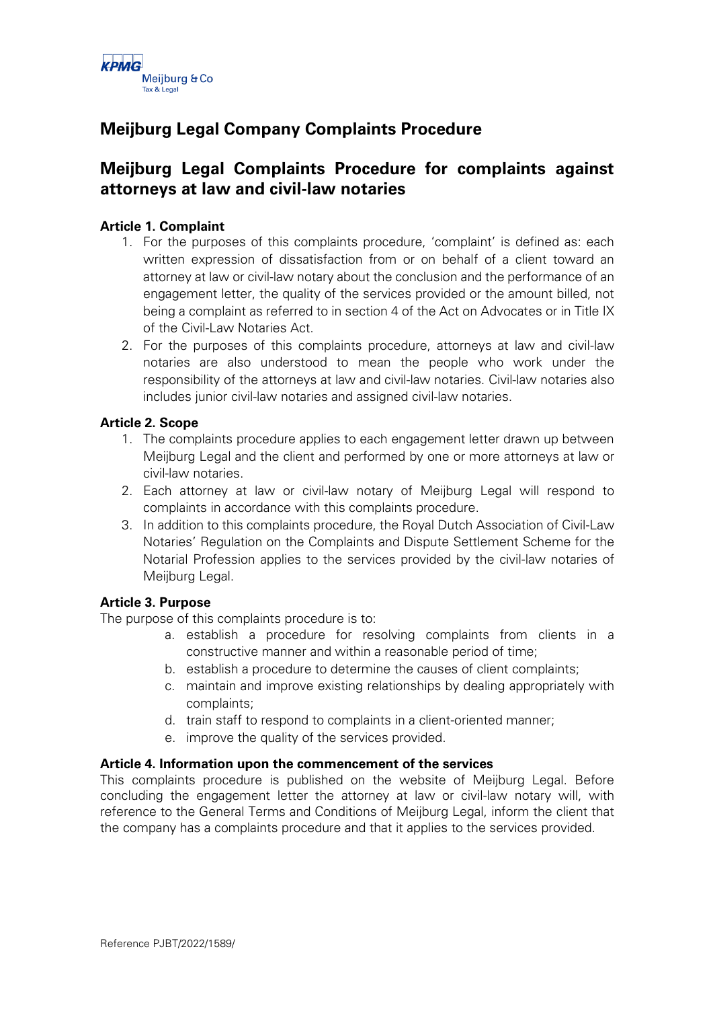

# **Meijburg Legal Company Complaints Procedure**

## **Meijburg Legal Complaints Procedure for complaints against attorneys at law and civil-law notaries**

### **Article 1. Complaint**

- 1. For the purposes of this complaints procedure, 'complaint' is defined as: each written expression of dissatisfaction from or on behalf of a client toward an attorney at law or civil-law notary about the conclusion and the performance of an engagement letter, the quality of the services provided or the amount billed, not being a complaint as referred to in section 4 of the Act on Advocates or in Title IX of the Civil-Law Notaries Act.
- 2. For the purposes of this complaints procedure, attorneys at law and civil-law notaries are also understood to mean the people who work under the responsibility of the attorneys at law and civil-law notaries. Civil-law notaries also includes junior civil-law notaries and assigned civil-law notaries.

#### **Article 2. Scope**

- 1. The complaints procedure applies to each engagement letter drawn up between Meijburg Legal and the client and performed by one or more attorneys at law or civil-law notaries.
- 2. Each attorney at law or civil-law notary of Meijburg Legal will respond to complaints in accordance with this complaints procedure.
- 3. In addition to this complaints procedure, the Royal Dutch Association of Civil-Law Notaries' Regulation on the Complaints and Dispute Settlement Scheme for the Notarial Profession applies to the services provided by the civil-law notaries of Meijburg Legal.

#### **Article 3. Purpose**

The purpose of this complaints procedure is to:

- a. establish a procedure for resolving complaints from clients in a constructive manner and within a reasonable period of time;
- b. establish a procedure to determine the causes of client complaints;
- c. maintain and improve existing relationships by dealing appropriately with complaints;
- d. train staff to respond to complaints in a client-oriented manner;
- e. improve the quality of the services provided.

#### **Article 4. Information upon the commencement of the services**

This complaints procedure is published on the website of Meijburg Legal. Before concluding the engagement letter the attorney at law or civil-law notary will, with reference to the General Terms and Conditions of Meijburg Legal, inform the client that the company has a complaints procedure and that it applies to the services provided.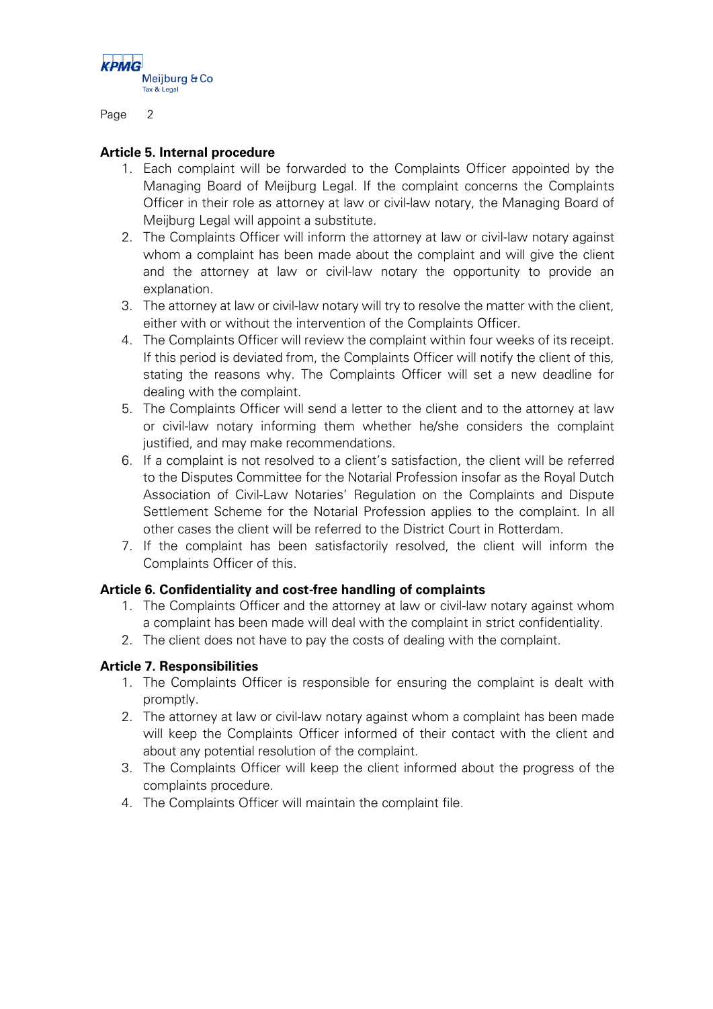

Page 2

#### **Article 5. Internal procedure**

- 1. Each complaint will be forwarded to the Complaints Officer appointed by the Managing Board of Meijburg Legal. If the complaint concerns the Complaints Officer in their role as attorney at law or civil-law notary, the Managing Board of Meijburg Legal will appoint a substitute.
- 2. The Complaints Officer will inform the attorney at law or civil-law notary against whom a complaint has been made about the complaint and will give the client and the attorney at law or civil-law notary the opportunity to provide an explanation.
- 3. The attorney at law or civil-law notary will try to resolve the matter with the client, either with or without the intervention of the Complaints Officer.
- 4. The Complaints Officer will review the complaint within four weeks of its receipt. If this period is deviated from, the Complaints Officer will notify the client of this, stating the reasons why. The Complaints Officer will set a new deadline for dealing with the complaint.
- 5. The Complaints Officer will send a letter to the client and to the attorney at law or civil-law notary informing them whether he/she considers the complaint justified, and may make recommendations.
- 6. If a complaint is not resolved to a client's satisfaction, the client will be referred to the Disputes Committee for the Notarial Profession insofar as the Royal Dutch Association of Civil-Law Notaries' Regulation on the Complaints and Dispute Settlement Scheme for the Notarial Profession applies to the complaint. In all other cases the client will be referred to the District Court in Rotterdam.
- 7. If the complaint has been satisfactorily resolved, the client will inform the Complaints Officer of this.

#### **Article 6. Confidentiality and cost-free handling of complaints**

- 1. The Complaints Officer and the attorney at law or civil-law notary against whom a complaint has been made will deal with the complaint in strict confidentiality.
- 2. The client does not have to pay the costs of dealing with the complaint.

#### **Article 7. Responsibilities**

- 1. The Complaints Officer is responsible for ensuring the complaint is dealt with promptly.
- 2. The attorney at law or civil-law notary against whom a complaint has been made will keep the Complaints Officer informed of their contact with the client and about any potential resolution of the complaint.
- 3. The Complaints Officer will keep the client informed about the progress of the complaints procedure.
- 4. The Complaints Officer will maintain the complaint file.